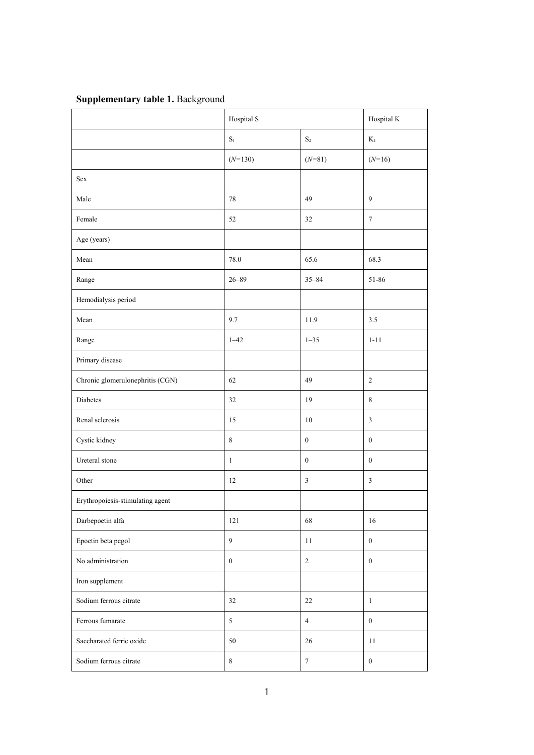## **Supplementary table 1.** Background

|                                  | Hospital S       |                  | Hospital K       |
|----------------------------------|------------------|------------------|------------------|
|                                  | $\mathbf{S}_1$   | $\mathbf{S}_2$   | $\mathbf{K}_1$   |
|                                  | $(N=130)$        | $(N=81)$         | $(N=16)$         |
| Sex                              |                  |                  |                  |
| Male                             | $78\,$           | 49               | $\mathbf{9}$     |
| Female                           | 52               | 32               | $\boldsymbol{7}$ |
| Age (years)                      |                  |                  |                  |
| Mean                             | 78.0             | 65.6             | 68.3             |
| Range                            | $26 - 89$        | $35 - 84$        | 51-86            |
| Hemodialysis period              |                  |                  |                  |
| Mean                             | 9.7              | 11.9             | 3.5              |
| Range                            | $1 - 42$         | $1 - 35$         | $1 - 11$         |
| Primary disease                  |                  |                  |                  |
| Chronic glomerulonephritis (CGN) | 62               | 49               | $\overline{c}$   |
| Diabetes                         | 32               | 19               | $\,$ 8 $\,$      |
| Renal sclerosis                  | 15               | $10\,$           | $\mathfrak{Z}$   |
| Cystic kidney                    | $\,8\,$          | $\boldsymbol{0}$ | $\boldsymbol{0}$ |
| Ureteral stone                   | $\,1$            | $\boldsymbol{0}$ | $\boldsymbol{0}$ |
| Other                            | $12\,$           | $\mathfrak{Z}$   | $\mathfrak{Z}$   |
| Erythropoiesis-stimulating agent |                  |                  |                  |
| Darbepoetin alfa                 | 121              | 68               | 16               |
| Epoetin beta pegol               | 9                | 11               | $\boldsymbol{0}$ |
| No administration                | $\boldsymbol{0}$ | $\overline{2}$   | $\mathbf{0}$     |
| Iron supplement                  |                  |                  |                  |
| Sodium ferrous citrate           | 32               | 22               | $\mathbf{1}$     |
| Ferrous fumarate                 | 5                | $\overline{4}$   | $\overline{0}$   |
| Saccharated ferric oxide         | 50               | $26\,$           | 11               |
| Sodium ferrous citrate           | $8\,$            | $\overline{7}$   | $\overline{0}$   |